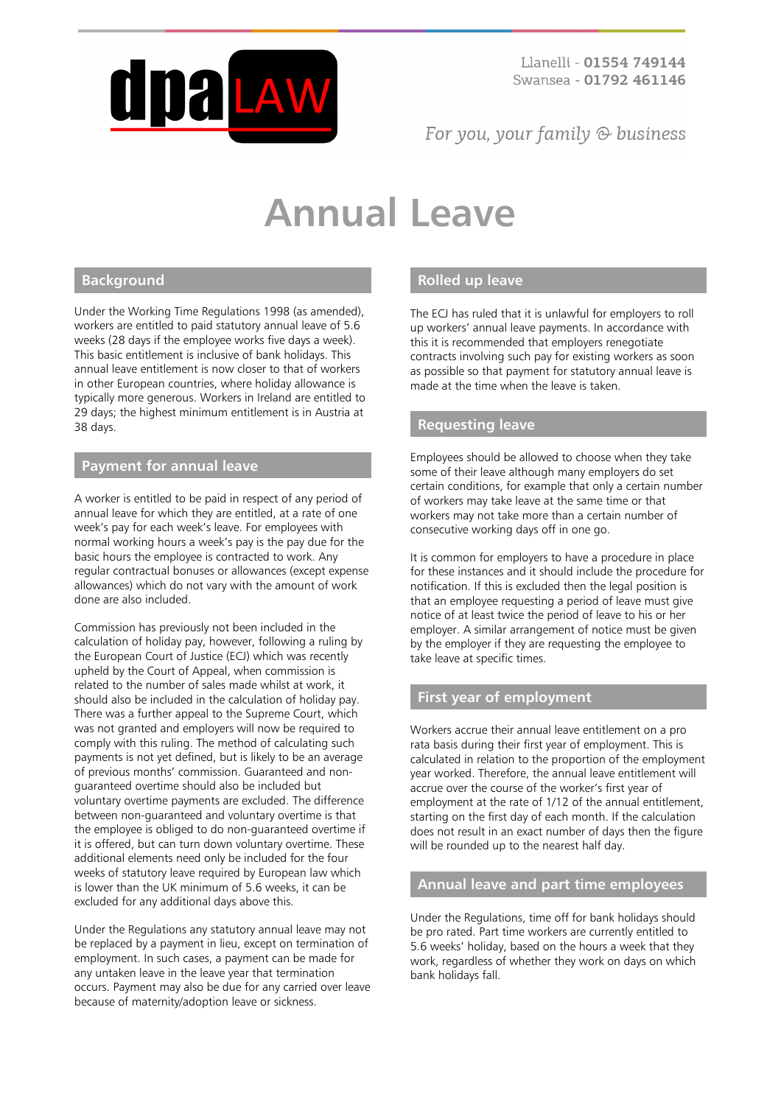

# For you, your family  $\odot$  business

# **Annual Leave**

# **Background**

Under the Working Time Regulations 1998 (as amended), workers are entitled to paid statutory annual leave of 5.6 weeks (28 days if the employee works five days a week). This basic entitlement is inclusive of bank holidays. This annual leave entitlement is now closer to that of workers in other European countries, where holiday allowance is typically more generous. Workers in Ireland are entitled to 29 days; the highest minimum entitlement is in Austria at 38 days.

#### **Payment for annual leave**

A worker is entitled to be paid in respect of any period of annual leave for which they are entitled, at a rate of one week's pay for each week's leave. For employees with normal working hours a week's pay is the pay due for the basic hours the employee is contracted to work. Any regular contractual bonuses or allowances (except expense allowances) which do not vary with the amount of work done are also included.

Commission has previously not been included in the calculation of holiday pay, however, following a ruling by the European Court of Justice (ECJ) which was recently upheld by the Court of Appeal, when commission is related to the number of sales made whilst at work, it should also be included in the calculation of holiday pay. There was a further appeal to the Supreme Court, which was not granted and employers will now be required to comply with this ruling. The method of calculating such payments is not yet defined, but is likely to be an average of previous months' commission. Guaranteed and nonguaranteed overtime should also be included but voluntary overtime payments are excluded. The difference between non-guaranteed and voluntary overtime is that the employee is obliged to do non-guaranteed overtime if it is offered, but can turn down voluntary overtime. These additional elements need only be included for the four weeks of statutory leave required by European law which is lower than the UK minimum of 5.6 weeks, it can be excluded for any additional days above this.

Under the Regulations any statutory annual leave may not be replaced by a payment in lieu, except on termination of employment. In such cases, a payment can be made for any untaken leave in the leave year that termination occurs. Payment may also be due for any carried over leave because of maternity/adoption leave or sickness.

# **Rolled up leave**

The ECJ has ruled that it is unlawful for employers to roll up workers' annual leave payments. In accordance with this it is recommended that employers renegotiate contracts involving such pay for existing workers as soon as possible so that payment for statutory annual leave is made at the time when the leave is taken.

# **Requesting leave**

Employees should be allowed to choose when they take some of their leave although many employers do set certain conditions, for example that only a certain number of workers may take leave at the same time or that workers may not take more than a certain number of consecutive working days off in one go.

It is common for employers to have a procedure in place for these instances and it should include the procedure for notification. If this is excluded then the legal position is that an employee requesting a period of leave must give notice of at least twice the period of leave to his or her employer. A similar arrangement of notice must be given by the employer if they are requesting the employee to take leave at specific times.

#### **First year of employment**

Workers accrue their annual leave entitlement on a pro rata basis during their first year of employment. This is calculated in relation to the proportion of the employment year worked. Therefore, the annual leave entitlement will accrue over the course of the worker's first year of employment at the rate of 1/12 of the annual entitlement, starting on the first day of each month. If the calculation does not result in an exact number of days then the figure will be rounded up to the nearest half day.

#### **Annual leave and part time employees**

Under the Regulations, time off for bank holidays should be pro rated. Part time workers are currently entitled to 5.6 weeks' holiday, based on the hours a week that they work, regardless of whether they work on days on which bank holidays fall.